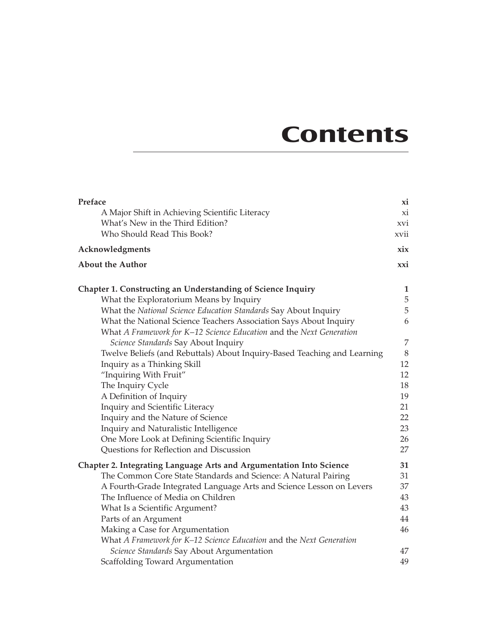## **Contents**

| Preface                                                                    | xi          |
|----------------------------------------------------------------------------|-------------|
| A Major Shift in Achieving Scientific Literacy                             | xi          |
| What's New in the Third Edition?                                           | XVI         |
| Who Should Read This Book?                                                 | xvii        |
| Acknowledgments                                                            | xix         |
| <b>About the Author</b>                                                    | xxi         |
| Chapter 1. Constructing an Understanding of Science Inquiry                | 1           |
| What the Exploratorium Means by Inquiry                                    | $\mathbf 5$ |
| What the National Science Education Standards Say About Inquiry            | $\mathbf 5$ |
| What the National Science Teachers Association Says About Inquiry          | 6           |
| What A Framework for K-12 Science Education and the Next Generation        |             |
| Science Standards Say About Inquiry                                        | 7           |
| Twelve Beliefs (and Rebuttals) About Inquiry-Based Teaching and Learning   | $8\,$       |
| Inquiry as a Thinking Skill                                                | 12          |
| "Inquiring With Fruit"                                                     | 12          |
| The Inquiry Cycle                                                          | 18          |
| A Definition of Inquiry                                                    | 19          |
| Inquiry and Scientific Literacy                                            | 21          |
| Inquiry and the Nature of Science                                          | 22          |
| Inquiry and Naturalistic Intelligence                                      | 23          |
| One More Look at Defining Scientific Inquiry                               | 26          |
| Questions for Reflection and Discussion                                    | 27          |
| <b>Chapter 2. Integrating Language Arts and Argumentation Into Science</b> | 31          |
| The Common Core State Standards and Science: A Natural Pairing             | 31          |
| A Fourth-Grade Integrated Language Arts and Science Lesson on Levers       | 37          |
| The Influence of Media on Children                                         | 43          |
| What Is a Scientific Argument?                                             | 43          |
| Parts of an Argument                                                       | 44          |
| Making a Case for Argumentation                                            | 46          |
| What A Framework for K-12 Science Education and the Next Generation        |             |
| Science Standards Say About Argumentation                                  | 47          |
| Scaffolding Toward Argumentation                                           | 49          |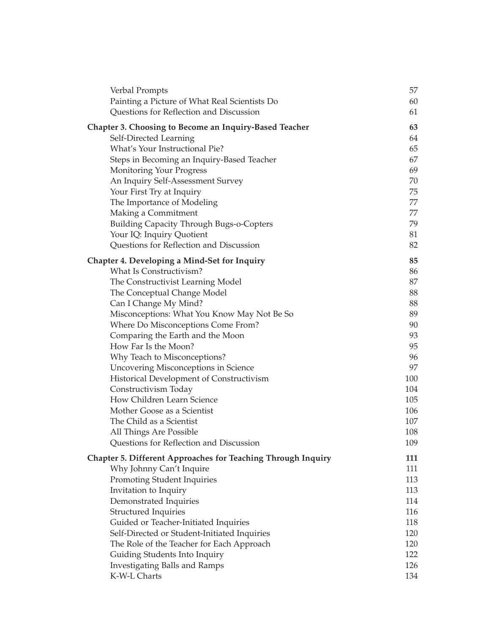| Verbal Prompts                                                | 57  |
|---------------------------------------------------------------|-----|
| Painting a Picture of What Real Scientists Do                 | 60  |
| Questions for Reflection and Discussion                       | 61  |
| <b>Chapter 3. Choosing to Become an Inquiry-Based Teacher</b> | 63  |
| Self-Directed Learning                                        | 64  |
| What's Your Instructional Pie?                                | 65  |
| Steps in Becoming an Inquiry-Based Teacher                    | 67  |
| <b>Monitoring Your Progress</b>                               | 69  |
| An Inquiry Self-Assessment Survey                             | 70  |
| Your First Try at Inquiry                                     | 75  |
| The Importance of Modeling                                    | 77  |
| Making a Commitment                                           | 77  |
| <b>Building Capacity Through Bugs-o-Copters</b>               | 79  |
| Your IQ: Inquiry Quotient                                     | 81  |
| Questions for Reflection and Discussion                       | 82  |
| <b>Chapter 4. Developing a Mind-Set for Inquiry</b>           | 85  |
| What Is Constructivism?                                       | 86  |
| The Constructivist Learning Model                             | 87  |
| The Conceptual Change Model                                   | 88  |
| Can I Change My Mind?                                         | 88  |
| Misconceptions: What You Know May Not Be So                   | 89  |
| Where Do Misconceptions Come From?                            | 90  |
| Comparing the Earth and the Moon                              | 93  |
| How Far Is the Moon?                                          | 95  |
| Why Teach to Misconceptions?                                  | 96  |
| <b>Uncovering Misconceptions in Science</b>                   | 97  |
| Historical Development of Constructivism                      | 100 |
| Constructivism Today                                          | 104 |
| How Children Learn Science                                    | 105 |
| Mother Goose as a Scientist                                   | 106 |
| The Child as a Scientist                                      | 107 |
| All Things Are Possible                                       | 108 |
| Questions for Reflection and Discussion                       | 109 |
| Chapter 5. Different Approaches for Teaching Through Inquiry  | 111 |
| Why Johnny Can't Inquire                                      | 111 |
| Promoting Student Inquiries                                   | 113 |
| Invitation to Inquiry                                         | 113 |
| Demonstrated Inquiries                                        | 114 |
| <b>Structured Inquiries</b>                                   | 116 |
| Guided or Teacher-Initiated Inquiries                         | 118 |
| Self-Directed or Student-Initiated Inquiries                  | 120 |
| The Role of the Teacher for Each Approach                     | 120 |
| Guiding Students Into Inquiry                                 | 122 |
| <b>Investigating Balls and Ramps</b>                          | 126 |
| K-W-L Charts                                                  | 134 |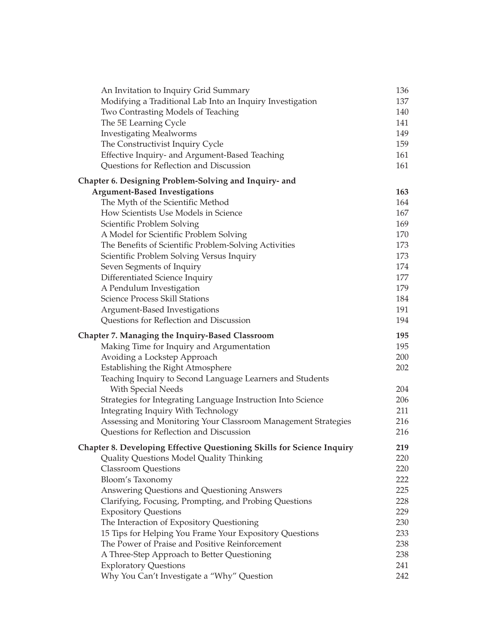| An Invitation to Inquiry Grid Summary                                  | 136 |
|------------------------------------------------------------------------|-----|
| Modifying a Traditional Lab Into an Inquiry Investigation              | 137 |
| Two Contrasting Models of Teaching                                     | 140 |
| The 5E Learning Cycle                                                  | 141 |
| <b>Investigating Mealworms</b>                                         | 149 |
| The Constructivist Inquiry Cycle                                       | 159 |
| Effective Inquiry- and Argument-Based Teaching                         | 161 |
| Questions for Reflection and Discussion                                | 161 |
| Chapter 6. Designing Problem-Solving and Inquiry- and                  |     |
| <b>Argument-Based Investigations</b>                                   | 163 |
| The Myth of the Scientific Method                                      | 164 |
| How Scientists Use Models in Science                                   | 167 |
| Scientific Problem Solving                                             | 169 |
| A Model for Scientific Problem Solving                                 | 170 |
| The Benefits of Scientific Problem-Solving Activities                  | 173 |
| Scientific Problem Solving Versus Inquiry                              | 173 |
| Seven Segments of Inquiry                                              | 174 |
| Differentiated Science Inquiry                                         | 177 |
| A Pendulum Investigation                                               | 179 |
| <b>Science Process Skill Stations</b>                                  | 184 |
| Argument-Based Investigations                                          | 191 |
| Questions for Reflection and Discussion                                | 194 |
| Chapter 7. Managing the Inquiry-Based Classroom                        | 195 |
| Making Time for Inquiry and Argumentation                              | 195 |
| Avoiding a Lockstep Approach                                           | 200 |
| Establishing the Right Atmosphere                                      | 202 |
| Teaching Inquiry to Second Language Learners and Students              |     |
| With Special Needs                                                     | 204 |
| Strategies for Integrating Language Instruction Into Science           | 206 |
| Integrating Inquiry With Technology                                    | 211 |
| Assessing and Monitoring Your Classroom Management Strategies          | 216 |
| Questions for Reflection and Discussion                                | 216 |
| Chapter 8. Developing Effective Questioning Skills for Science Inquiry | 219 |
| Quality Questions Model Quality Thinking                               | 220 |
| <b>Classroom Questions</b>                                             | 220 |
| Bloom's Taxonomy                                                       | 222 |
| Answering Questions and Questioning Answers                            | 225 |
| Clarifying, Focusing, Prompting, and Probing Questions                 | 228 |
| <b>Expository Questions</b>                                            | 229 |
| The Interaction of Expository Questioning                              | 230 |
| 15 Tips for Helping You Frame Your Expository Questions                | 233 |
| The Power of Praise and Positive Reinforcement                         | 238 |
| A Three-Step Approach to Better Questioning                            | 238 |
| <b>Exploratory Questions</b>                                           | 241 |
| Why You Can't Investigate a "Why" Question                             | 242 |
|                                                                        |     |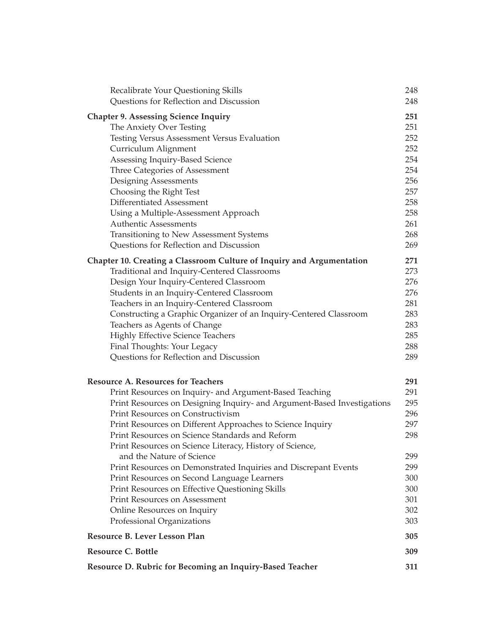| Recalibrate Your Questioning Skills<br>Questions for Reflection and Discussion        | 248<br>248 |
|---------------------------------------------------------------------------------------|------------|
| <b>Chapter 9. Assessing Science Inquiry</b>                                           | 251        |
| The Anxiety Over Testing                                                              | 251        |
| Testing Versus Assessment Versus Evaluation                                           | 252        |
| Curriculum Alignment                                                                  | 252        |
| Assessing Inquiry-Based Science                                                       | 254        |
| Three Categories of Assessment                                                        | 254        |
| Designing Assessments                                                                 | 256        |
| Choosing the Right Test                                                               | 257        |
| Differentiated Assessment                                                             | 258        |
| Using a Multiple-Assessment Approach                                                  | 258        |
| <b>Authentic Assessments</b>                                                          | 261        |
| Transitioning to New Assessment Systems                                               | 268        |
| Questions for Reflection and Discussion                                               | 269        |
| Chapter 10. Creating a Classroom Culture of Inquiry and Argumentation                 | 271        |
| Traditional and Inquiry-Centered Classrooms                                           | 273        |
| Design Your Inquiry-Centered Classroom                                                | 276        |
| Students in an Inquiry-Centered Classroom                                             | 276        |
| Teachers in an Inquiry-Centered Classroom                                             | 281        |
| Constructing a Graphic Organizer of an Inquiry-Centered Classroom                     | 283        |
| Teachers as Agents of Change                                                          | 283        |
| <b>Highly Effective Science Teachers</b>                                              | 285        |
| Final Thoughts: Your Legacy                                                           | 288        |
| Questions for Reflection and Discussion                                               | 289        |
| <b>Resource A. Resources for Teachers</b>                                             | 291        |
| Print Resources on Inquiry- and Argument-Based Teaching                               | 291        |
| Print Resources on Designing Inquiry- and Argument-Based Investigations               | 295        |
| Print Resources on Constructivism                                                     | 296        |
| Print Resources on Different Approaches to Science Inquiry                            | 297        |
| Print Resources on Science Standards and Reform                                       | 298        |
| Print Resources on Science Literacy, History of Science,<br>and the Nature of Science | 299        |
| Print Resources on Demonstrated Inquiries and Discrepant Events                       | 299        |
| Print Resources on Second Language Learners                                           | 300        |
| Print Resources on Effective Questioning Skills                                       | 300        |
| <b>Print Resources on Assessment</b>                                                  | 301        |
| Online Resources on Inquiry                                                           | 302        |
| Professional Organizations                                                            | 303        |
| Resource B. Lever Lesson Plan                                                         | 305        |
| <b>Resource C. Bottle</b>                                                             | 309        |
| Resource D. Rubric for Becoming an Inquiry-Based Teacher                              | 311        |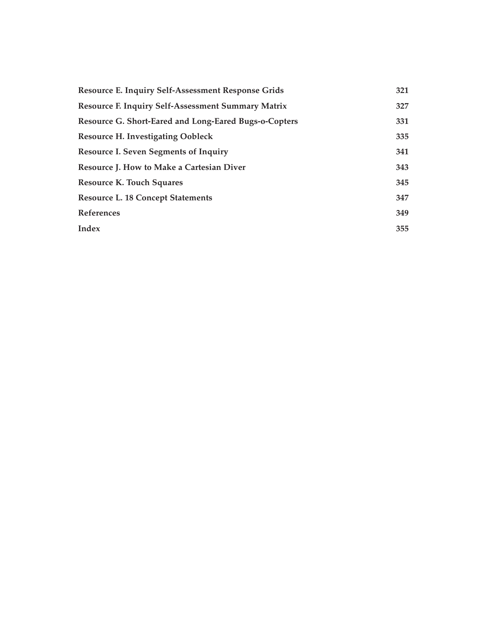| Resource E. Inquiry Self-Assessment Response Grids        | 321 |
|-----------------------------------------------------------|-----|
| <b>Resource F. Inquiry Self-Assessment Summary Matrix</b> | 327 |
| Resource G. Short-Eared and Long-Eared Bugs-o-Copters     | 331 |
| <b>Resource H. Investigating Oobleck</b>                  | 335 |
| <b>Resource I. Seven Segments of Inquiry</b>              | 341 |
| <b>Resource J. How to Make a Cartesian Diver</b>          | 343 |
| <b>Resource K. Touch Squares</b>                          | 345 |
| <b>Resource L. 18 Concept Statements</b>                  | 347 |
| <b>References</b>                                         | 349 |
| Index                                                     | 355 |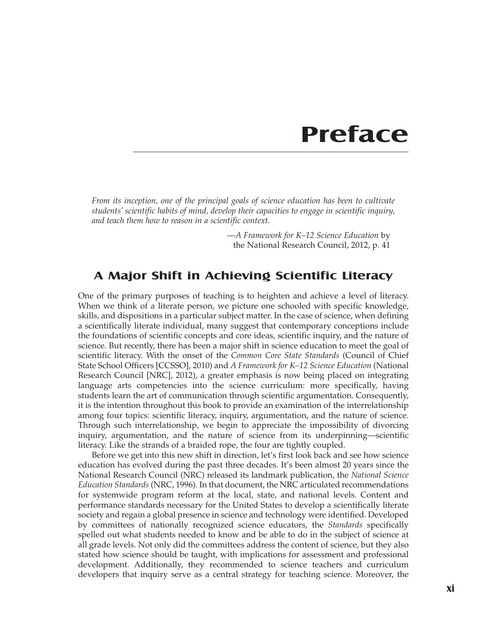### **Preface**

*From its inception, one of the principal goals of science education has been to cultivate students' scientific habits of mind, develop their capacities to engage in scientific inquiry, and teach them how to reason in a scientific context.*

> —*A Framework for K–12 Science Education* by the National Research Council, 2012, p. 41

#### **A Major Shift in Achieving Scientific Literacy**

One of the primary purposes of teaching is to heighten and achieve a level of literacy. When we think of a literate person, we picture one schooled with specific knowledge, skills, and dispositions in a particular subject matter. In the case of science, when defining a scientifically literate individual, many suggest that contemporary conceptions include the foundations of scientific concepts and core ideas, scientific inquiry, and the nature of science. But recently, there has been a major shift in science education to meet the goal of scientific literacy. With the onset of the *Common Core State Standards* (Council of Chief State School Officers [CCSSO], 2010) and *A Framework for K–12 Science Education* (National Research Council [NRC], 2012), a greater emphasis is now being placed on integrating language arts competencies into the science curriculum: more specifically, having students learn the art of communication through scientific argumentation. Consequently, it is the intention throughout this book to provide an examination of the interrelationship among four topics: scientific literacy, inquiry, argumentation, and the nature of science. Through such interrelationship, we begin to appreciate the impossibility of divorcing inquiry, argumentation, and the nature of science from its underpinning—scientific literacy. Like the strands of a braided rope, the four are tightly coupled.

Before we get into this new shift in direction, let's first look back and see how science education has evolved during the past three decades. It's been almost 20 years since the National Research Council (NRC) released its landmark publication, the *National Science Education Standards* (NRC, 1996). In that document, the NRC articulated recommendations for systemwide program reform at the local, state, and national levels. Content and performance standards necessary for the United States to develop a scientifically literate society and regain a global presence in science and technology were identified. Developed by committees of nationally recognized science educators, the *Standards* specifically spelled out what students needed to know and be able to do in the subject of science at all grade levels. Not only did the committees address the content of science, but they also stated how science should be taught, with implications for assessment and professional development. Additionally, they recommended to science teachers and curriculum developers that inquiry serve as a central strategy for teaching science. Moreover, the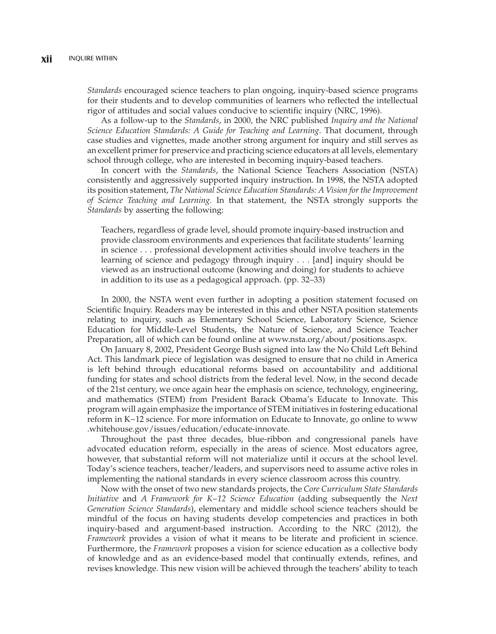*Standards* encouraged science teachers to plan ongoing, inquiry-based science programs for their students and to develop communities of learners who reflected the intellectual rigor of attitudes and social values conducive to scientific inquiry (NRC, 1996).

As a follow-up to the *Standards*, in 2000, the NRC published *Inquiry and the National Science Education Standards: A Guide for Teaching and Learning*. That document, through case studies and vignettes, made another strong argument for inquiry and still serves as an excellent primer for preservice and practicing science educators at all levels, elementary school through college, who are interested in becoming inquiry-based teachers.

In concert with the *Standards*, the National Science Teachers Association (NSTA) consistently and aggressively supported inquiry instruction. In 1998, the NSTA adopted its position statement, *The National Science Education Standards: A Vision for the Improvement of Science Teaching and Learning*. In that statement, the NSTA strongly supports the *Standards* by asserting the following:

Teachers, regardless of grade level, should promote inquiry-based instruction and provide classroom environments and experiences that facilitate students' learning in science . . . professional development activities should involve teachers in the learning of science and pedagogy through inquiry . . . [and] inquiry should be viewed as an instructional outcome (knowing and doing) for students to achieve in addition to its use as a pedagogical approach. (pp. 32–33)

In 2000, the NSTA went even further in adopting a position statement focused on Scientific Inquiry. Readers may be interested in this and other NSTA position statements relating to inquiry, such as Elementary School Science, Laboratory Science, Science Education for Middle-Level Students, the Nature of Science, and Science Teacher Preparation, all of which can be found online at www.nsta.org/about/positions.aspx.

On January 8, 2002, President George Bush signed into law the No Child Left Behind Act. This landmark piece of legislation was designed to ensure that no child in America is left behind through educational reforms based on accountability and additional funding for states and school districts from the federal level. Now, in the second decade of the 21st century, we once again hear the emphasis on science, technology, engineering, and mathematics (STEM) from President Barack Obama's Educate to Innovate. This program will again emphasize the importance of STEM initiatives in fostering educational reform in K−12 science. For more information on Educate to Innovate, go online to www .whitehouse.gov/issues/education/educate-innovate.

Throughout the past three decades, blue-ribbon and congressional panels have advocated education reform, especially in the areas of science. Most educators agree, however, that substantial reform will not materialize until it occurs at the school level. Today's science teachers, teacher/leaders, and supervisors need to assume active roles in implementing the national standards in every science classroom across this country.

Now with the onset of two new standards projects, the *Core Curriculum State Standards Initiative* and *A Framework for K−12 Science Education* (adding subsequently the *Next Generation Science Standards*), elementary and middle school science teachers should be mindful of the focus on having students develop competencies and practices in both inquiry-based and argument-based instruction. According to the NRC (2012), the *Framework* provides a vision of what it means to be literate and proficient in science. Furthermore, the *Framework* proposes a vision for science education as a collective body of knowledge and as an evidence-based model that continually extends, refines, and revises knowledge. This new vision will be achieved through the teachers' ability to teach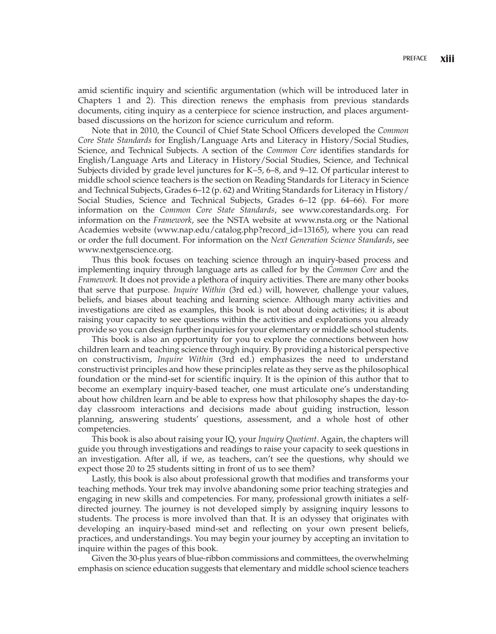amid scientific inquiry and scientific argumentation (which will be introduced later in Chapters 1 and 2). This direction renews the emphasis from previous standards documents, citing inquiry as a centerpiece for science instruction, and places argumentbased discussions on the horizon for science curriculum and reform.

Note that in 2010, the Council of Chief State School Officers developed the *Common Core State Standards* for English/Language Arts and Literacy in History/Social Studies, Science, and Technical Subjects. A section of the *Common Core* identifies standards for English/Language Arts and Literacy in History/Social Studies, Science, and Technical Subjects divided by grade level junctures for K−5, 6–8, and 9–12. Of particular interest to middle school science teachers is the section on Reading Standards for Literacy in Science and Technical Subjects, Grades 6–12 (p. 62) and Writing Standards for Literacy in History/ Social Studies, Science and Technical Subjects, Grades 6–12 (pp. 64–66). For more information on the *Common Core State Standards*, see www.corestandards.org. For information on the *Framework*, see the NSTA website at www.nsta.org or the National Academies website (www.nap.edu/catalog.php?record\_id=13165), where you can read or order the full document. For information on the *Next Generation Science Standards*, see www.nextgenscience.org.

Thus this book focuses on teaching science through an inquiry-based process and implementing inquiry through language arts as called for by the *Common Core* and the *Framework.* It does not provide a plethora of inquiry activities. There are many other books that serve that purpose. *Inquire Within* (3rd ed.) will, however, challenge your values, beliefs, and biases about teaching and learning science. Although many activities and investigations are cited as examples, this book is not about doing activities; it is about raising your capacity to see questions within the activities and explorations you already provide so you can design further inquiries for your elementary or middle school students.

This book is also an opportunity for you to explore the connections between how children learn and teaching science through inquiry. By providing a historical perspective on constructivism, *Inquire Within* (3rd ed.) emphasizes the need to understand constructivist principles and how these principles relate as they serve as the philosophical foundation or the mind-set for scientific inquiry. It is the opinion of this author that to become an exemplary inquiry-based teacher, one must articulate one's understanding about how children learn and be able to express how that philosophy shapes the day-today classroom interactions and decisions made about guiding instruction, lesson planning, answering students' questions, assessment, and a whole host of other competencies.

This book is also about raising your IQ, your *Inquiry Quotient*. Again, the chapters will guide you through investigations and readings to raise your capacity to seek questions in an investigation. After all, if we, as teachers, can't see the questions, why should we expect those 20 to 25 students sitting in front of us to see them?

Lastly, this book is also about professional growth that modifies and transforms your teaching methods. Your trek may involve abandoning some prior teaching strategies and engaging in new skills and competencies. For many, professional growth initiates a selfdirected journey. The journey is not developed simply by assigning inquiry lessons to students. The process is more involved than that. It is an odyssey that originates with developing an inquiry-based mind-set and reflecting on your own present beliefs, practices, and understandings. You may begin your journey by accepting an invitation to inquire within the pages of this book.

Given the 30-plus years of blue-ribbon commissions and committees, the overwhelming emphasis on science education suggests that elementary and middle school science teachers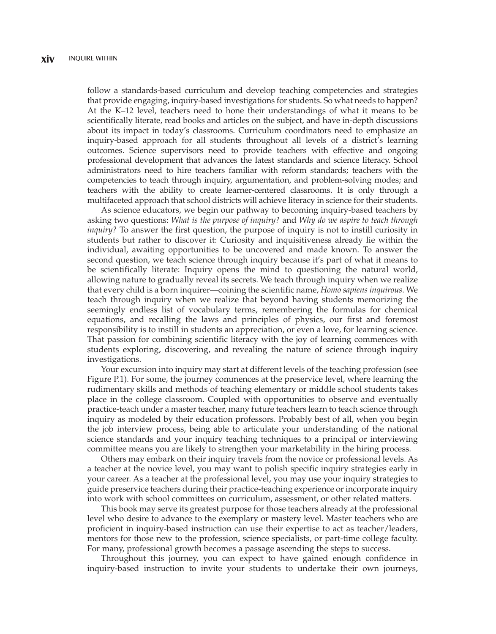follow a standards-based curriculum and develop teaching competencies and strategies that provide engaging, inquiry-based investigations for students. So what needs to happen? At the K–12 level, teachers need to hone their understandings of what it means to be scientifically literate, read books and articles on the subject, and have in-depth discussions about its impact in today's classrooms. Curriculum coordinators need to emphasize an inquiry-based approach for all students throughout all levels of a district's learning outcomes. Science supervisors need to provide teachers with effective and ongoing professional development that advances the latest standards and science literacy. School administrators need to hire teachers familiar with reform standards; teachers with the competencies to teach through inquiry, argumentation, and problem-solving modes; and teachers with the ability to create learner-centered classrooms. It is only through a multifaceted approach that school districts will achieve literacy in science for their students.

As science educators, we begin our pathway to becoming inquiry-based teachers by asking two questions: *What is the purpose of inquiry?* and *Why do we aspire to teach through inquiry?* To answer the first question, the purpose of inquiry is not to instill curiosity in students but rather to discover it: Curiosity and inquisitiveness already lie within the individual, awaiting opportunities to be uncovered and made known. To answer the second question, we teach science through inquiry because it's part of what it means to be scientifically literate: Inquiry opens the mind to questioning the natural world, allowing nature to gradually reveal its secrets. We teach through inquiry when we realize that every child is a born inquirer—coining the scientific name, *Homo sapiens inquirous*. We teach through inquiry when we realize that beyond having students memorizing the seemingly endless list of vocabulary terms, remembering the formulas for chemical equations, and recalling the laws and principles of physics, our first and foremost responsibility is to instill in students an appreciation, or even a love, for learning science. That passion for combining scientific literacy with the joy of learning commences with students exploring, discovering, and revealing the nature of science through inquiry investigations.

Your excursion into inquiry may start at different levels of the teaching profession (see Figure P.1). For some, the journey commences at the preservice level, where learning the rudimentary skills and methods of teaching elementary or middle school students takes place in the college classroom. Coupled with opportunities to observe and eventually practice-teach under a master teacher, many future teachers learn to teach science through inquiry as modeled by their education professors. Probably best of all, when you begin the job interview process, being able to articulate your understanding of the national science standards and your inquiry teaching techniques to a principal or interviewing committee means you are likely to strengthen your marketability in the hiring process.

Others may embark on their inquiry travels from the novice or professional levels. As a teacher at the novice level, you may want to polish specific inquiry strategies early in your career. As a teacher at the professional level, you may use your inquiry strategies to guide preservice teachers during their practice-teaching experience or incorporate inquiry into work with school committees on curriculum, assessment, or other related matters.

This book may serve its greatest purpose for those teachers already at the professional level who desire to advance to the exemplary or mastery level. Master teachers who are proficient in inquiry-based instruction can use their expertise to act as teacher/leaders, mentors for those new to the profession, science specialists, or part-time college faculty. For many, professional growth becomes a passage ascending the steps to success.

Throughout this journey, you can expect to have gained enough confidence in inquiry-based instruction to invite your students to undertake their own journeys,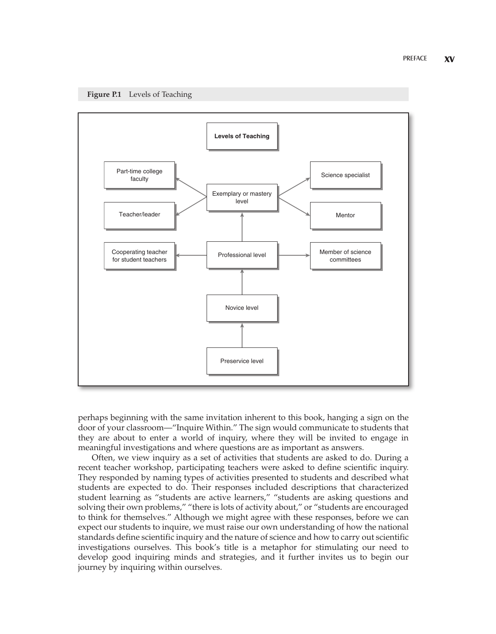



perhaps beginning with the same invitation inherent to this book, hanging a sign on the door of your classroom—"Inquire Within." The sign would communicate to students that they are about to enter a world of inquiry, where they will be invited to engage in meaningful investigations and where questions are as important as answers.

Often, we view inquiry as a set of activities that students are asked to do. During a recent teacher workshop, participating teachers were asked to define scientific inquiry. They responded by naming types of activities presented to students and described what students are expected to do. Their responses included descriptions that characterized student learning as "students are active learners," "students are asking questions and solving their own problems," "there is lots of activity about," or "students are encouraged to think for themselves." Although we might agree with these responses, before we can expect our students to inquire, we must raise our own understanding of how the national standards define scientific inquiry and the nature of science and how to carry out scientific investigations ourselves. This book's title is a metaphor for stimulating our need to develop good inquiring minds and strategies, and it further invites us to begin our journey by inquiring within ourselves.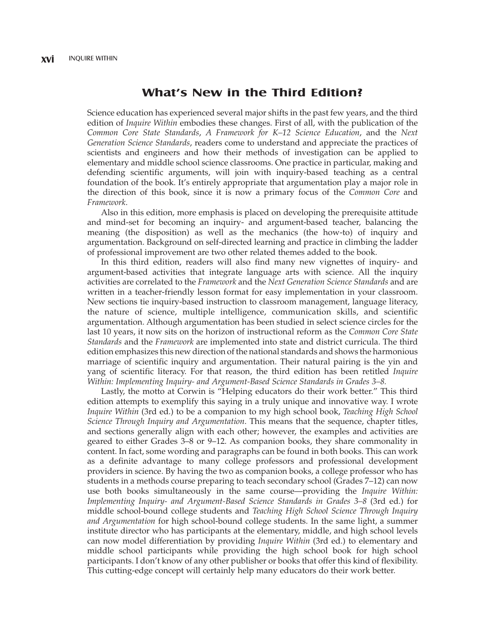#### **What's New in the Third Edition?**

Science education has experienced several major shifts in the past few years, and the third edition of *Inquire Within* embodies these changes. First of all, with the publication of the *Common Core State Standards*, *A Framework for K–12 Science Education*, and the *Next Generation Science Standards*, readers come to understand and appreciate the practices of scientists and engineers and how their methods of investigation can be applied to elementary and middle school science classrooms. One practice in particular, making and defending scientific arguments, will join with inquiry-based teaching as a central foundation of the book. It's entirely appropriate that argumentation play a major role in the direction of this book, since it is now a primary focus of the *Common Core* and *Framework*.

Also in this edition, more emphasis is placed on developing the prerequisite attitude and mind-set for becoming an inquiry- and argument-based teacher, balancing the meaning (the disposition) as well as the mechanics (the how-to) of inquiry and argumentation. Background on self-directed learning and practice in climbing the ladder of professional improvement are two other related themes added to the book.

In this third edition, readers will also find many new vignettes of inquiry- and argument-based activities that integrate language arts with science. All the inquiry activities are correlated to the *Framework* and the *Next Generation Science Standards* and are written in a teacher-friendly lesson format for easy implementation in your classroom. New sections tie inquiry-based instruction to classroom management, language literacy, the nature of science, multiple intelligence, communication skills, and scientific argumentation. Although argumentation has been studied in select science circles for the last 10 years, it now sits on the horizon of instructional reform as the *Common Core State Standards* and the *Framework* are implemented into state and district curricula. The third edition emphasizes this new direction of the national standards and shows the harmonious marriage of scientific inquiry and argumentation. Their natural pairing is the yin and yang of scientific literacy. For that reason, the third edition has been retitled *Inquire Within: Implementing Inquiry- and Argument-Based Science Standards in Grades 3–8.*

Lastly, the motto at Corwin is "Helping educators do their work better." This third edition attempts to exemplify this saying in a truly unique and innovative way. I wrote *Inquire Within* (3rd ed.) to be a companion to my high school book, *Teaching High School Science Through Inquiry and Argumentation*. This means that the sequence, chapter titles, and sections generally align with each other; however, the examples and activities are geared to either Grades 3–8 or 9–12. As companion books, they share commonality in content. In fact, some wording and paragraphs can be found in both books. This can work as a definite advantage to many college professors and professional development providers in science. By having the two as companion books, a college professor who has students in a methods course preparing to teach secondary school (Grades 7–12) can now use both books simultaneously in the same course—providing the *Inquire Within: Implementing Inquiry- and Argument-Based Science Standards in Grades 3–8* (3rd ed.) for middle school-bound college students and *Teaching High School Science Through Inquiry and Argumentation* for high school-bound college students. In the same light, a summer institute director who has participants at the elementary, middle, and high school levels can now model differentiation by providing *Inquire Within* (3rd ed.) to elementary and middle school participants while providing the high school book for high school participants. I don't know of any other publisher or books that offer this kind of flexibility. This cutting-edge concept will certainly help many educators do their work better.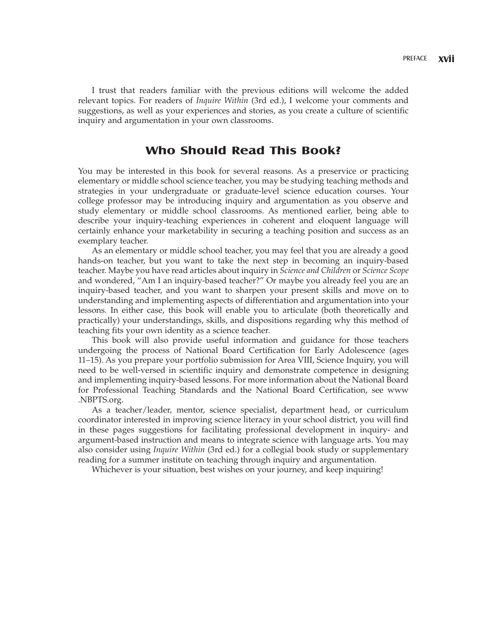I trust that readers familiar with the previous editions will welcome the added relevant topics. For readers of *Inquire Within* (3rd ed.), I welcome your comments and suggestions, as well as your experiences and stories, as you create a culture of scientific inquiry and argumentation in your own classrooms.

#### **Who Should Read This Book?**

You may be interested in this book for several reasons. As a preservice or practicing elementary or middle school science teacher, you may be studying teaching methods and strategies in your undergraduate or graduate-level science education courses. Your college professor may be introducing inquiry and argumentation as you observe and study elementary or middle school classrooms. As mentioned earlier, being able to describe your inquiry-teaching experiences in coherent and eloquent language will certainly enhance your marketability in securing a teaching position and success as an exemplary teacher.

As an elementary or middle school teacher, you may feel that you are already a good hands-on teacher, but you want to take the next step in becoming an inquiry-based teacher. Maybe you have read articles about inquiry in *Science and Children* or *Science Scope* and wondered, "Am I an inquiry-based teacher?" Or maybe you already feel you are an inquiry-based teacher, and you want to sharpen your present skills and move on to understanding and implementing aspects of differentiation and argumentation into your lessons. In either case, this book will enable you to articulate (both theoretically and practically) your understandings, skills, and dispositions regarding why this method of teaching fits your own identity as a science teacher.

This book will also provide useful information and guidance for those teachers undergoing the process of National Board Certification for Early Adolescence (ages 11–15). As you prepare your portfolio submission for Area VIII, Science Inquiry, you will need to be well-versed in scientific inquiry and demonstrate competence in designing and implementing inquiry-based lessons. For more information about the National Board for Professional Teaching Standards and the National Board Certification, see www .NBPTS.org.

As a teacher/leader, mentor, science specialist, department head, or curriculum coordinator interested in improving science literacy in your school district, you will find in these pages suggestions for facilitating professional development in inquiry- and argument-based instruction and means to integrate science with language arts. You may also consider using *Inquire Within* (3rd ed.) for a collegial book study or supplementary reading for a summer institute on teaching through inquiry and argumentation.

Whichever is your situation, best wishes on your journey, and keep inquiring!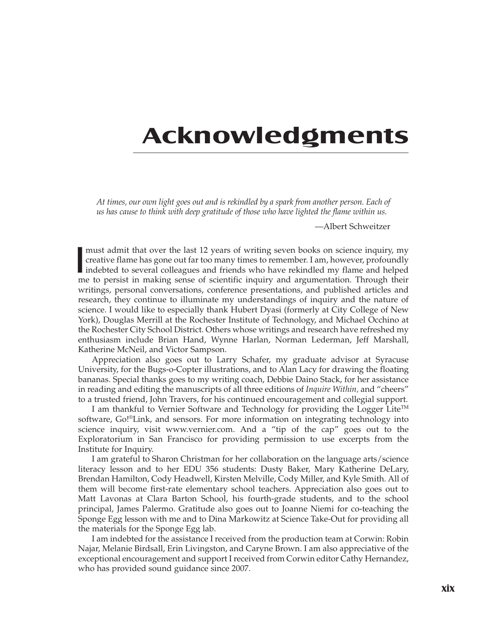## **Acknowledgments**

*At times, our own light goes out and is rekindled by a spark from another person. Each of us has cause to think with deep gratitude of those who have lighted the flame within us.*

—Albert Schweitzer

I must admit that over the last 12 years of writing seven books on science inquiry, my<br>creative flame has gone out far too many times to remember. I am, however, profoundly<br>indebted to several colleagues and friends who ha must admit that over the last 12 years of writing seven books on science inquiry, my creative flame has gone out far too many times to remember. I am, however, profoundly me to persist in making sense of scientific inquiry and argumentation. Through their writings, personal conversations, conference presentations, and published articles and research, they continue to illuminate my understandings of inquiry and the nature of science. I would like to especially thank Hubert Dyasi (formerly at City College of New York), Douglas Merrill at the Rochester Institute of Technology, and Michael Occhino at the Rochester City School District. Others whose writings and research have refreshed my enthusiasm include Brian Hand, Wynne Harlan, Norman Lederman, Jeff Marshall, Katherine McNeil, and Victor Sampson.

Appreciation also goes out to Larry Schafer, my graduate advisor at Syracuse University, for the Bugs-o-Copter illustrations, and to Alan Lacy for drawing the floating bananas. Special thanks goes to my writing coach, Debbie Daino Stack, for her assistance in reading and editing the manuscripts of all three editions of *Inquire Within,* and "cheers" to a trusted friend, John Travers, for his continued encouragement and collegial support.

I am thankful to Vernier Software and Technology for providing the Logger Lite<sup>TM</sup> software, Go!®Link, and sensors. For more information on integrating technology into science inquiry, visit www.vernier.com. And a "tip of the cap" goes out to the Exploratorium in San Francisco for providing permission to use excerpts from the Institute for Inquiry.

I am grateful to Sharon Christman for her collaboration on the language arts/science literacy lesson and to her EDU 356 students: Dusty Baker, Mary Katherine DeLary, Brendan Hamilton, Cody Headwell, Kirsten Melville, Cody Miller, and Kyle Smith. All of them will become first-rate elementary school teachers. Appreciation also goes out to Matt Lavonas at Clara Barton School, his fourth-grade students, and to the school principal, James Palermo. Gratitude also goes out to Joanne Niemi for co-teaching the Sponge Egg lesson with me and to Dina Markowitz at Science Take-Out for providing all the materials for the Sponge Egg lab.

I am indebted for the assistance I received from the production team at Corwin: Robin Najar, Melanie Birdsall, Erin Livingston, and Caryne Brown. I am also appreciative of the exceptional encouragement and support I received from Corwin editor Cathy Hernandez, who has provided sound guidance since 2007.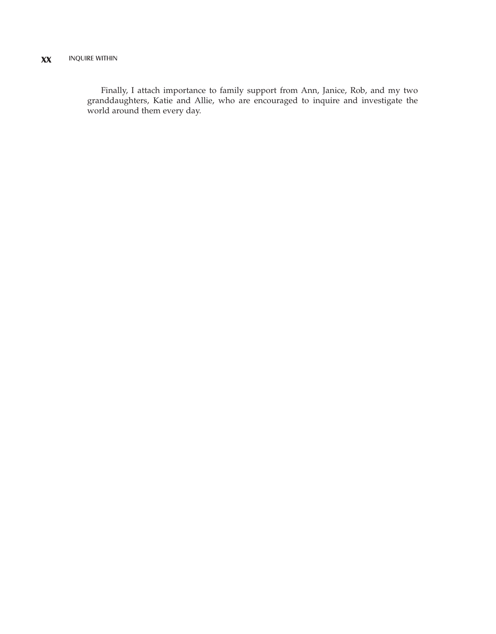Finally, I attach importance to family support from Ann, Janice, Rob, and my two granddaughters, Katie and Allie, who are encouraged to inquire and investigate the world around them every day.